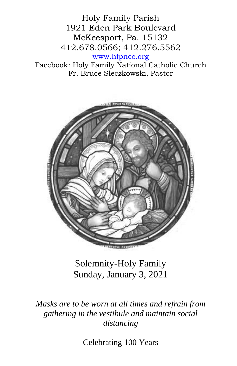Holy Family Parish 1921 Eden Park Boulevard McKeesport, Pa. 15132 412.678.0566; 412.276.5562 [www.hfpncc.org](http://www.hfpncc.org/)

Facebook: Holy Family National Catholic Church Fr. Bruce Sleczkowski, Pastor



Solemnity-Holy Family Sunday, January 3, 2021

*Masks are to be worn at all times and refrain from gathering in the vestibule and maintain social distancing*

Celebrating 100 Years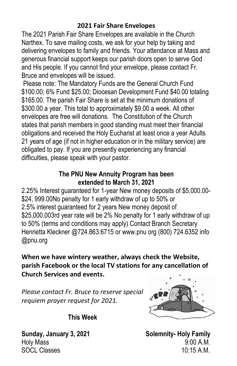## **2021 Fair Share Envelopes**

The 2021 Parish Fair Share Envelopes are available in the Church Narthex. To save mailing costs, we ask for your help by taking and delivering envelopes to family and friends. Your attendance at Mass and generous financial support keeps our parish doors open to serve God and His people. If you cannot find your envelope, please contact Fr. Bruce and envelopes will be issued.

Please note: The Mandatory Funds are the General Church Fund \$100.00; 6% Fund \$25.00; Diocesan Development Fund \$40.00 totaling \$165.00. The parish Fair Share is set at the minimum donations of \$300.00 a year. This total to approximately \$9.00 a week. All other envelopes are free will donations. The Constitution of the Church states that parish members in good standing must meet their financial obligations and received the Holy Eucharist at least once a year Adults 21 years of age (if not in higher education or in the military service) are obligated to pay. If you are presently experiencing any financial difficulties, please speak with your pastor.

## **The PNU New Annuity Program has been extended to March 31, 2021**

2.25% Interest guaranteed for 1-year New money deposits of \$5,000.00- \$24, 999.00No penalty for 1 early withdraw of up to 50% or 2.5% interest guaranteed for 2 years New money deposit of \$25,000.003rd year rate will be 2% No penalty for 1 early withdraw of up to 50% (terms and conditions may apply) Contact Branch Secretary Henrietta Kleckner @724.863.6715 or www.pnu org (800) 724.6352 info @pnu.org

**When we have wintery weather, always check the Website, parish Facebook or the local TV stations for any cancellation of Church Services and events.**

*Please contact Fr. Bruce to reserve special requiem prayer request for 2021.*



**This Week** 

Sunday, January 3, 2021 **Solemnity- Holy Family** Holy Mass 9:00 A.M. SOCL Classes 10:15 A.M.